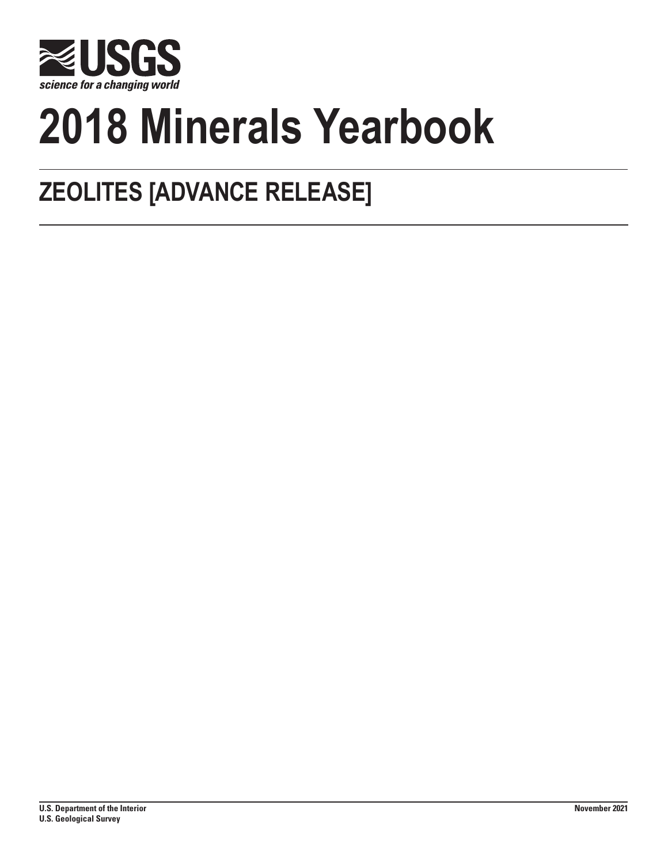

# **2018 Minerals Yearbook**

## **ZEOLITES [ADVANCE RELEASE]**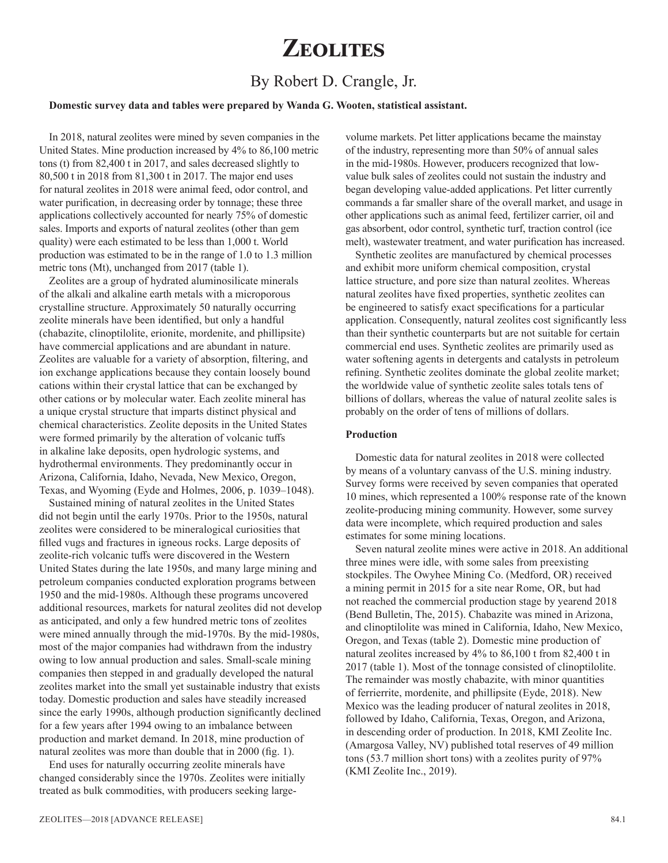## **Zeolites**

### By Robert D. Crangle, Jr.

#### **Domestic survey data and tables were prepared by Wanda G. Wooten, statistical assistant.**

In 2018, natural zeolites were mined by seven companies in the United States. Mine production increased by 4% to 86,100 metric tons (t) from 82,400 t in 2017, and sales decreased slightly to 80,500 t in 2018 from 81,300 t in 2017. The major end uses for natural zeolites in 2018 were animal feed, odor control, and water purification, in decreasing order by tonnage; these three applications collectively accounted for nearly 75% of domestic sales. Imports and exports of natural zeolites (other than gem quality) were each estimated to be less than 1,000 t. World production was estimated to be in the range of 1.0 to 1.3 million metric tons (Mt), unchanged from 2017 (table 1).

Zeolites are a group of hydrated aluminosilicate minerals of the alkali and alkaline earth metals with a microporous crystalline structure. Approximately 50 naturally occurring zeolite minerals have been identified, but only a handful (chabazite, clinoptilolite, erionite, mordenite, and phillipsite) have commercial applications and are abundant in nature. Zeolites are valuable for a variety of absorption, filtering, and ion exchange applications because they contain loosely bound cations within their crystal lattice that can be exchanged by other cations or by molecular water. Each zeolite mineral has a unique crystal structure that imparts distinct physical and chemical characteristics. Zeolite deposits in the United States were formed primarily by the alteration of volcanic tuffs in alkaline lake deposits, open hydrologic systems, and hydrothermal environments. They predominantly occur in Arizona, California, Idaho, Nevada, New Mexico, Oregon, Texas, and Wyoming (Eyde and Holmes, 2006, p. 1039–1048).

Sustained mining of natural zeolites in the United States did not begin until the early 1970s. Prior to the 1950s, natural zeolites were considered to be mineralogical curiosities that filled vugs and fractures in igneous rocks. Large deposits of zeolite-rich volcanic tuffs were discovered in the Western United States during the late 1950s, and many large mining and petroleum companies conducted exploration programs between 1950 and the mid-1980s. Although these programs uncovered additional resources, markets for natural zeolites did not develop as anticipated, and only a few hundred metric tons of zeolites were mined annually through the mid-1970s. By the mid-1980s, most of the major companies had withdrawn from the industry owing to low annual production and sales. Small-scale mining companies then stepped in and gradually developed the natural zeolites market into the small yet sustainable industry that exists today. Domestic production and sales have steadily increased since the early 1990s, although production significantly declined for a few years after 1994 owing to an imbalance between production and market demand. In 2018, mine production of natural zeolites was more than double that in 2000 (fig. 1).

End uses for naturally occurring zeolite minerals have changed considerably since the 1970s. Zeolites were initially treated as bulk commodities, with producers seeking largevolume markets. Pet litter applications became the mainstay of the industry, representing more than 50% of annual sales in the mid-1980s. However, producers recognized that lowvalue bulk sales of zeolites could not sustain the industry and began developing value-added applications. Pet litter currently commands a far smaller share of the overall market, and usage in other applications such as animal feed, fertilizer carrier, oil and gas absorbent, odor control, synthetic turf, traction control (ice melt), wastewater treatment, and water purification has increased.

Synthetic zeolites are manufactured by chemical processes and exhibit more uniform chemical composition, crystal lattice structure, and pore size than natural zeolites. Whereas natural zeolites have fixed properties, synthetic zeolites can be engineered to satisfy exact specifications for a particular application. Consequently, natural zeolites cost significantly less than their synthetic counterparts but are not suitable for certain commercial end uses. Synthetic zeolites are primarily used as water softening agents in detergents and catalysts in petroleum refining. Synthetic zeolites dominate the global zeolite market; the worldwide value of synthetic zeolite sales totals tens of billions of dollars, whereas the value of natural zeolite sales is probably on the order of tens of millions of dollars.

#### **Production**

Domestic data for natural zeolites in 2018 were collected by means of a voluntary canvass of the U.S. mining industry. Survey forms were received by seven companies that operated 10 mines, which represented a 100% response rate of the known zeolite-producing mining community. However, some survey data were incomplete, which required production and sales estimates for some mining locations.

Seven natural zeolite mines were active in 2018. An additional three mines were idle, with some sales from preexisting stockpiles. The Owyhee Mining Co. (Medford, OR) received a mining permit in 2015 for a site near Rome, OR, but had not reached the commercial production stage by yearend 2018 (Bend Bulletin, The, 2015). Chabazite was mined in Arizona, and clinoptilolite was mined in California, Idaho, New Mexico, Oregon, and Texas (table 2). Domestic mine production of natural zeolites increased by 4% to 86,100 t from 82,400 t in 2017 (table 1). Most of the tonnage consisted of clinoptilolite. The remainder was mostly chabazite, with minor quantities of ferrierrite, mordenite, and phillipsite (Eyde, 2018). New Mexico was the leading producer of natural zeolites in 2018, followed by Idaho, California, Texas, Oregon, and Arizona, in descending order of production. In 2018, KMI Zeolite Inc. (Amargosa Valley, NV) published total reserves of 49 million tons (53.7 million short tons) with a zeolites purity of 97% (KMI Zeolite Inc., 2019).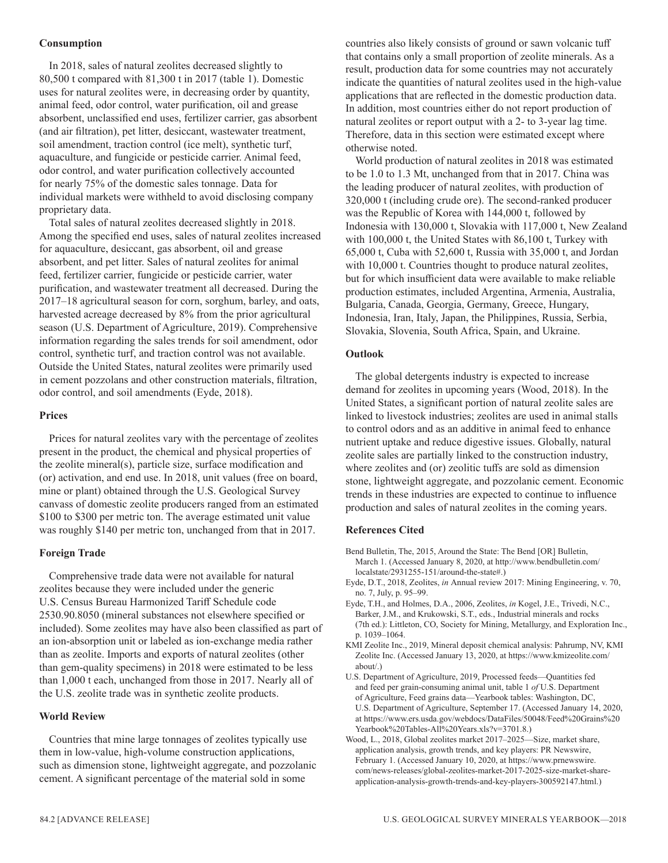#### **Consumption**

In 2018, sales of natural zeolites decreased slightly to 80,500 t compared with 81,300 t in 2017 (table 1). Domestic uses for natural zeolites were, in decreasing order by quantity, animal feed, odor control, water purification, oil and grease absorbent, unclassified end uses, fertilizer carrier, gas absorbent (and air filtration), pet litter, desiccant, wastewater treatment, soil amendment, traction control (ice melt), synthetic turf, aquaculture, and fungicide or pesticide carrier. Animal feed, odor control, and water purification collectively accounted for nearly 75% of the domestic sales tonnage. Data for individual markets were withheld to avoid disclosing company proprietary data.

Total sales of natural zeolites decreased slightly in 2018. Among the specified end uses, sales of natural zeolites increased for aquaculture, desiccant, gas absorbent, oil and grease absorbent, and pet litter. Sales of natural zeolites for animal feed, fertilizer carrier, fungicide or pesticide carrier, water purification, and wastewater treatment all decreased. During the 2017–18 agricultural season for corn, sorghum, barley, and oats, harvested acreage decreased by 8% from the prior agricultural season (U.S. Department of Agriculture, 2019). Comprehensive information regarding the sales trends for soil amendment, odor control, synthetic turf, and traction control was not available. Outside the United States, natural zeolites were primarily used in cement pozzolans and other construction materials, filtration, odor control, and soil amendments (Eyde, 2018).

#### **Prices**

Prices for natural zeolites vary with the percentage of zeolites present in the product, the chemical and physical properties of the zeolite mineral(s), particle size, surface modification and (or) activation, and end use. In 2018, unit values (free on board, mine or plant) obtained through the U.S. Geological Survey canvass of domestic zeolite producers ranged from an estimated \$100 to \$300 per metric ton. The average estimated unit value was roughly \$140 per metric ton, unchanged from that in 2017.

#### **Foreign Trade**

Comprehensive trade data were not available for natural zeolites because they were included under the generic U.S. Census Bureau Harmonized Tariff Schedule code 2530.90.8050 (mineral substances not elsewhere specified or included). Some zeolites may have also been classified as part of an ion-absorption unit or labeled as ion-exchange media rather than as zeolite. Imports and exports of natural zeolites (other than gem-quality specimens) in 2018 were estimated to be less than 1,000 t each, unchanged from those in 2017. Nearly all of the U.S. zeolite trade was in synthetic zeolite products.

#### **World Review**

Countries that mine large tonnages of zeolites typically use them in low-value, high-volume construction applications, such as dimension stone, lightweight aggregate, and pozzolanic cement. A significant percentage of the material sold in some

countries also likely consists of ground or sawn volcanic tuff that contains only a small proportion of zeolite minerals. As a result, production data for some countries may not accurately indicate the quantities of natural zeolites used in the high-value applications that are reflected in the domestic production data. In addition, most countries either do not report production of natural zeolites or report output with a 2- to 3-year lag time. Therefore, data in this section were estimated except where otherwise noted.

World production of natural zeolites in 2018 was estimated to be 1.0 to 1.3 Mt, unchanged from that in 2017. China was the leading producer of natural zeolites, with production of 320,000 t (including crude ore). The second-ranked producer was the Republic of Korea with 144,000 t, followed by Indonesia with 130,000 t, Slovakia with 117,000 t, New Zealand with 100,000 t, the United States with 86,100 t, Turkey with 65,000 t, Cuba with 52,600 t, Russia with 35,000 t, and Jordan with 10,000 t. Countries thought to produce natural zeolites, but for which insufficient data were available to make reliable production estimates, included Argentina, Armenia, Australia, Bulgaria, Canada, Georgia, Germany, Greece, Hungary, Indonesia, Iran, Italy, Japan, the Philippines, Russia, Serbia, Slovakia, Slovenia, South Africa, Spain, and Ukraine.

#### **Outlook**

The global detergents industry is expected to increase demand for zeolites in upcoming years (Wood, 2018). In the United States, a significant portion of natural zeolite sales are linked to livestock industries; zeolites are used in animal stalls to control odors and as an additive in animal feed to enhance nutrient uptake and reduce digestive issues. Globally, natural zeolite sales are partially linked to the construction industry, where zeolites and (or) zeolitic tuffs are sold as dimension stone, lightweight aggregate, and pozzolanic cement. Economic trends in these industries are expected to continue to influence production and sales of natural zeolites in the coming years.

#### **References Cited**

- Bend Bulletin, The, 2015, Around the State: The Bend [OR] Bulletin, March 1. (Accessed January 8, 2020, at http://www.bendbulletin.com/ localstate/2931255-151/around-the-state#.)
- Eyde, D.T., 2018, Zeolites, *in* Annual review 2017: Mining Engineering, v. 70, no. 7, July, p. 95–99.
- Eyde, T.H., and Holmes, D.A., 2006, Zeolites, *in* Kogel, J.E., Trivedi, N.C., Barker, J.M., and Krukowski, S.T., eds., Industrial minerals and rocks (7th ed.): Littleton, CO, Society for Mining, Metallurgy, and Exploration Inc., p. 1039–1064.
- KMI Zeolite Inc., 2019, Mineral deposit chemical analysis: Pahrump, NV, KMI Zeolite Inc. (Accessed January 13, 2020, at https://www.kmizeolite.com/ about/.)
- U.S. Department of Agriculture, 2019, Processed feeds—Quantities fed and feed per grain-consuming animal unit, table 1 *of* U.S. Department of Agriculture, Feed grains data—Yearbook tables: Washington, DC, U.S. Department of Agriculture, September 17. (Accessed January 14, 2020, at https://www.ers.usda.gov/webdocs/DataFiles/50048/Feed%20Grains%20 Yearbook%20Tables-All%20Years.xls?v=3701.8.)
- Wood, L., 2018, Global zeolites market 2017–2025—Size, market share, application analysis, growth trends, and key players: PR Newswire, February 1. (Accessed January 10, 2020, at https://www.prnewswire. com/news-releases/global-zeolites-market-2017-2025-size-market-shareapplication-analysis-growth-trends-and-key-players-300592147.html.)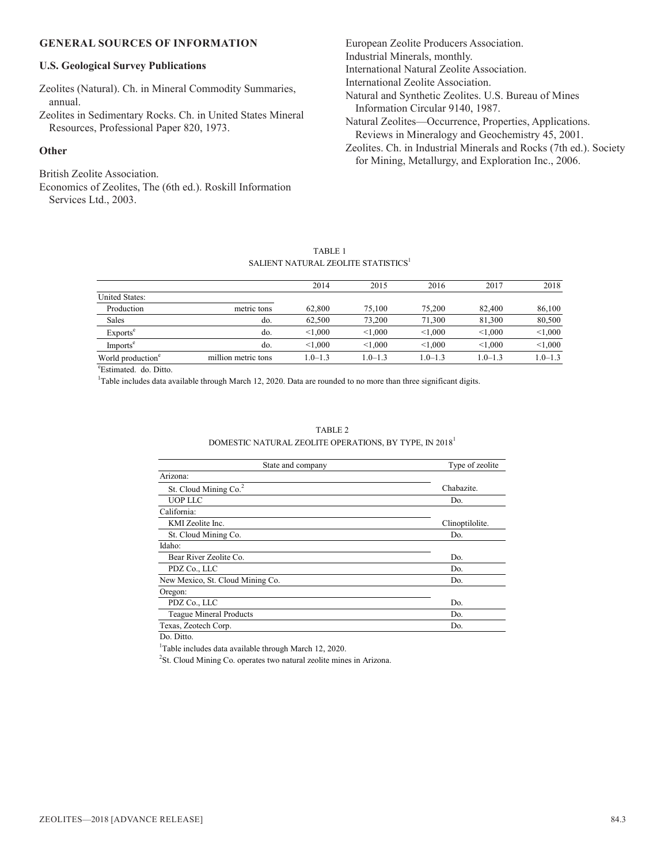#### **GENERAL SOURCES OF INFORMATION**

#### **U.S. Geological Survey Publications**

Zeolites (Natural). Ch. in Mineral Commodity Summaries, annual.

Zeolites in Sedimentary Rocks. Ch. in United States Mineral Resources, Professional Paper 820, 1973.

#### **Other**

British Zeolite Association.

Economics of Zeolites, The (6th ed.). Roskill Information Services Ltd., 2003.

European Zeolite Producers Association. Industrial Minerals, monthly. International Natural Zeolite Association. International Zeolite Association. Natural and Synthetic Zeolites. U.S. Bureau of Mines Information Circular 9140, 1987. Natural Zeolites—Occurrence, Properties, Applications. Reviews in Mineralogy and Geochemistry 45, 2001. Zeolites. Ch. in Industrial Minerals and Rocks (7th ed.). Society for Mining, Metallurgy, and Exploration Inc., 2006.

#### TABLE 1 SALIENT NATURAL ZEOLITE STATISTICS $^{\rm l}$

|                     | 2014        | 2015        | 2016        | 2017        | 2018        |
|---------------------|-------------|-------------|-------------|-------------|-------------|
|                     |             |             |             |             |             |
| metric tons         | 62,800      | 75,100      | 75,200      | 82,400      | 86,100      |
| do.                 | 62,500      | 73,200      | 71,300      | 81,300      | 80,500      |
| do.                 | < 1.000     | < 1.000     | < 1,000     | < 1,000     | < 1,000     |
| do.                 | < 1.000     | < 1.000     | < 1,000     | < 1,000     | < 1,000     |
| million metric tons | $1.0 - 1.3$ | $1.0 - 1.3$ | $1.0 - 1.3$ | $1.0 - 1.3$ | $1.0 - 1.3$ |
|                     |             |             |             |             |             |

TABLE 2 DOMESTIC NATURAL ZEOLITE OPERATIONS, BY TYPE, IN 2018<sup>1</sup>

e Estimated. do. Ditto.

<sup>1</sup>Table includes data available through March 12, 2020. Data are rounded to no more than three significant digits.

| State and company                 | Type of zeolite |  |
|-----------------------------------|-----------------|--|
| Arizona:                          |                 |  |
| St. Cloud Mining Co. <sup>2</sup> | Chabazite.      |  |
| <b>UOP LLC</b>                    | Do.             |  |
| California:                       |                 |  |
| KMI Zeolite Inc.                  | Clinoptilolite. |  |
| St. Cloud Mining Co.              | Do.             |  |
| Idaho:                            |                 |  |
| Bear River Zeolite Co.            | Do.             |  |
| PDZ Co., LLC                      | Do.             |  |
| New Mexico, St. Cloud Mining Co.  | Do.             |  |
| Oregon:                           |                 |  |
| PDZ Co., LLC                      | Do.             |  |
| Teague Mineral Products           | Do.             |  |
| Texas, Zeotech Corp.              | Do.             |  |

Do. Ditto.

<sup>1</sup>Table includes data available through March 12, 2020.

<sup>2</sup>St. Cloud Mining Co. operates two natural zeolite mines in Arizona.